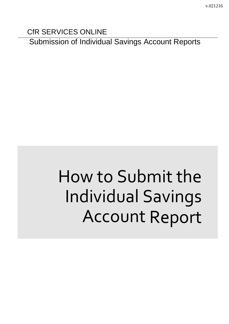CfR SERVICES ONLINE

Submission of Individual Savings Account Reports

# How to Submit the Individual Savings Account Report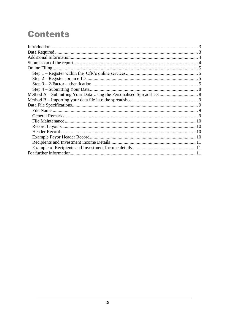# **Contents**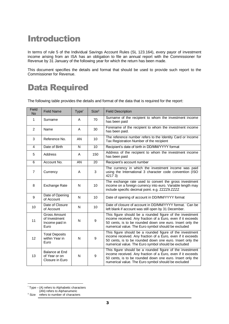# <span id="page-2-0"></span>**Introduction**

In terms of rule 5 of the Individual Savings Account Rules (SL 123.164), every payor of investment income arising from an ISA has an obligation to file an annual report with the Commissioner for Revenue by 31 January of the following year for which the return has been made.

This document specifies the details and format that should be used to provide such report to the Commissioner for Revenue.

# <span id="page-2-1"></span>Data Required

The following table provides the details and format of the data that is required for the report:

| Field<br><b>No</b> | <b>Field Name</b>                                       | Type <sup>*</sup> | Size <sup>t</sup> | <b>Field Description</b>                                                                                                                                                                                                                    |
|--------------------|---------------------------------------------------------|-------------------|-------------------|---------------------------------------------------------------------------------------------------------------------------------------------------------------------------------------------------------------------------------------------|
| $\mathbf{1}$       | Surname                                                 | A                 | 70                | Surname of the recipient to whom the investment income<br>has been paid                                                                                                                                                                     |
| 2                  | Name                                                    | A                 | 30                | Forename of the recipient to whom the investment income<br>has been paid.                                                                                                                                                                   |
| 3                  | Reference No.                                           | AN                | 10                | The reference number refers to the Identity Card or Income<br>Tax Registration Number of the recipient                                                                                                                                      |
| $\overline{4}$     | Date of Birth                                           | N                 | $\overline{10}$   | Recipient's date of birth in DD/MM/YYYY format                                                                                                                                                                                              |
| 5                  | Address                                                 | A                 | 150               | Address of the recipient to whom the investment income<br>has been paid                                                                                                                                                                     |
| 6                  | Account No.                                             | AN                | 20                | Recipient's account number                                                                                                                                                                                                                  |
| $\overline{7}$     | Currency                                                | A                 | 3                 | The currency in which the investment income was paid<br>using the International 3 character code convention (ISO<br>4217 3)                                                                                                                 |
| 8                  | <b>Exchange Rate</b>                                    | N                 | 10                | The exchange rate used to convert the gross investment<br>income on a foreign currency into euro. Variable length may<br>include specific decimal point. e.g. ZZZZ9.ZZZZ                                                                    |
| 9                  | Date of Opening<br>of Account                           | N                 | 10                | Date of opening of account in DD/MM/YYYY format                                                                                                                                                                                             |
| 10                 | Date of Closure<br>of Account                           | N                 | 10                | Date of closure of account in DD/MM/YYYY format. Can be<br>left blank if account was still open by 31 December.                                                                                                                             |
| 11                 | Gross Amount<br>of Investment<br>Income paid in<br>Euro | N                 | 9                 | This figure should be a rounded figure of the investment<br>income received. Any fraction of a Euro, even if it exceeds<br>50 cents, is to be rounded down one euro. Insert only the<br>numerical value. The Euro symbol should be excluded |
| 12                 | <b>Total Deposits</b><br>within Year in<br>Euro         | N                 | 9                 | This figure should be a rounded figure of the investment<br>income received. Any fraction of a Euro, even if it exceeds<br>50 cents, is to be rounded down one euro. Insert only the<br>numerical value. The Euro symbol should be excluded |
| 13                 | Balance at End<br>of Year or on<br>Closure in Euro      | N                 | 9                 | This figure should be a rounded figure of the investment<br>income received. Any fraction of a Euro, even if it exceeds<br>50 cents, is to be rounded down one euro. Insert only the<br>numerical value. The Euro symbol should be excluded |

1

<sup>\*</sup> Type – (A) refers to Alphabetic characters

<sup>(</sup>AN) refers to Alphanumeric

<sup>†</sup> Size refers to number of characters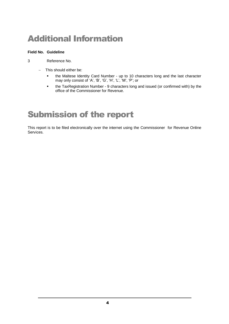# <span id="page-3-0"></span>Additional Information

#### **Field No. Guideline**

3 Reference No.

- This should either be:
	- the Maltese Identity Card Number up to 10 characters long and the last character may only consist of 'A', 'B', 'G', 'H', 'L', 'M', 'P'; or
	- the TaxRegistration Number 9 characters long and issued (or confirmed with) by the office of the Commissioner for Revenue.

# <span id="page-3-1"></span>Submission of the report

This report is to be filed electronically over the internet using the Commissioner for Revenue Online Services.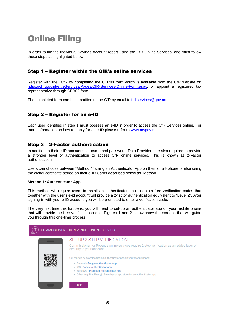# <span id="page-4-0"></span>Online Filing

In order to file the Individual Savings Account report using the CfR Online Services, one must follow these steps as highlighted below:

### <span id="page-4-1"></span>Step 1 – Register within the CfR's online services

Register with the CfR by completing the CFR04 form which is available from the CfR website on [https://cfr.gov.mt/en/eServices/Pages/CfR-Services-Online-Form.aspx,](https://cfr.gov.mt/en/eServices/Pages/CfR-Services-Online-Form.aspx) or appoint a registered tax representative through CFR02 form.

The completed form can be submitted to the CfR by email to [ird.services@gov.mt](mailto:ird.services@gov.mt)

### <span id="page-4-2"></span>Step 2 – Register for an e-ID

Each user identified in step 1 must possess an e-ID in order to access the CfR Services online. For more information on how to apply for an e-ID please refer to [www.mygov.mt](http://www.mygov.mt/)

### <span id="page-4-3"></span>Step 3 – 2-Factor authentication

In addition to their e-ID account user name and password, Data Providers are also required to provide a stronger level of authentication to access CfR online services. This is known as 2-Factor authentication.

Users can choose between "Method 1" using an Authenticator App on their smart-phone or else using the digital certificate stored on their e-ID Cards described below as "Method 2".

#### **Method 1: Authenticator App**

This method will require users to install an authenticator app to obtain free verification codes that together with the user's e-id account will provide a 2-factor authentication equivalent to "Level 2". After signing-in with your e-ID account you will be prompted to enter a verification code.

The very first time this happens, you will need to set-up an authenticator app on your mobile phone that will provide the free verification codes. Figures 1 and 2 below show the screens that will guide you through this one-time process.

| COMMISSIONER FOR REVENUE - ONLINE SERVICES |                                                                                                                                                                                                                                                                            |  |  |  |  |
|--------------------------------------------|----------------------------------------------------------------------------------------------------------------------------------------------------------------------------------------------------------------------------------------------------------------------------|--|--|--|--|
|                                            | SET UP 2-STEP VERIFICATION<br>Commissioner for Revenue online services require 2-step verification as an added layer of<br>security to your account.                                                                                                                       |  |  |  |  |
|                                            | Get started by downloading an authenticator app on your mobile phone:<br>• Android - Google Authenticator App<br>· iOS - Google Authenticator App<br>· Windows - Microsoft Authenticator App<br>• Other (e.g. Blackberry) - Search your app store for an authenticator app |  |  |  |  |
|                                            | Got it                                                                                                                                                                                                                                                                     |  |  |  |  |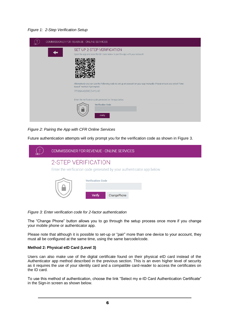#### *Figure 1: 2-Step Verification Setup*

|  | COMMISSIONER FOR REVENUE - ONLINE SERVICES                                                                                                            |
|--|-------------------------------------------------------------------------------------------------------------------------------------------------------|
|  | SET UP 2-STEP VERIFICATION<br>Open the app and scan the QR Code below to pair the app with your account:                                              |
|  |                                                                                                                                                       |
|  | Alternatively you can use the following code to set up an account on your app manually. Please ensure you select "time-<br>based" method if prompted. |
|  | 7PD6K4QSRCZ4YLHC                                                                                                                                      |
|  | Enter the verification code generated by the app below:                                                                                               |
|  | <b>Verification Code</b><br>Verify                                                                                                                    |

#### *Figure 2: Pairing the App with CFR Online Services*

Future authentication attempts will only prompt you for the verification code as shown in Figure 3.

| COMMISSIONER FOR REVENUE - ONLINE SERVICES                             |                                                   |  |  |
|------------------------------------------------------------------------|---------------------------------------------------|--|--|
| 2-STEP VERIFICATION                                                    |                                                   |  |  |
| Enter the verification code generated by your authenticator app below. |                                                   |  |  |
|                                                                        | <b>Verification Code</b><br>Verify<br>ChangePhone |  |  |

*Figure 3: Enter verification code for 2-factor authentication*

The "Change Phone" button allows you to go through the setup process once more if you change your mobile phone or authenticator app.

Please note that although it is possible to set-up or "pair" more than one device to your account, they must all be configured at the same time, using the same barcode/code.

#### **Method 2: Physical eID Card (Level 3)**

Users can also make use of the digital certificate found on their physical eID card instead of the Authenticator app method described in the previous section. This is an even higher level of security as it requires the use of your identity card and a compatible card-reader to access the certificates on the ID card.

To use this method of authentication, choose the link "Select my e-ID Card Authentication Certificate" in the Sign-in screen as shown below.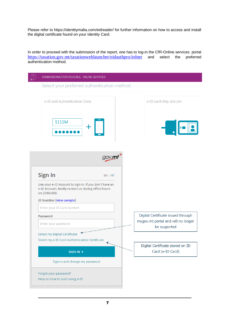Please refer to https://identitymalta.com/eidreader/ for further information on how to access and install the digital certificate found on your Identity Card.

In order to proceed with the submission of the report, one has to log-in the CfR-Online services portal <https://taxation.gov.mt/taxationweblauncher/eidauthpro/irdnet> and select the preferred authentication method.

| Select your preferred authentication method<br>e-ID and Authentication Code                                                   |                                                                                          |
|-------------------------------------------------------------------------------------------------------------------------------|------------------------------------------------------------------------------------------|
|                                                                                                                               |                                                                                          |
|                                                                                                                               | e-ID card chip and pin                                                                   |
| 1111M                                                                                                                         |                                                                                          |
| $gov$ . $m$<br>Sign In<br>$EN$   MT                                                                                           |                                                                                          |
| Use your e-ID Account to sign in. If you don't have an<br>e-ID Account, kindly contact us during office hours<br>on 25904300. |                                                                                          |
| ID Number (view sample)                                                                                                       |                                                                                          |
| Enter your ID Card number                                                                                                     |                                                                                          |
| Password<br>Enter your password                                                                                               | Digital Certificate issued through<br>mygov.mt portal and will no longer<br>be supported |
| Select my Digital Certificate<br>Select my e-ID Card Authentication Certificate                                               |                                                                                          |
| SIGN IN >                                                                                                                     | Digital Certificate stored on ID<br>Card (e-ID Card)                                     |
| Sign-in and change my password                                                                                                |                                                                                          |
| Forgot your password?                                                                                                         |                                                                                          |
| Help on how to start using e-ID                                                                                               |                                                                                          |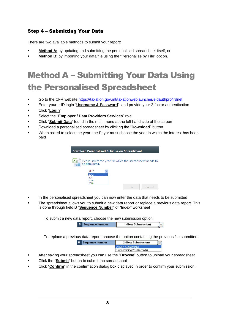## <span id="page-7-0"></span>Step 4 – Submitting Your Data

There are two available methods to submit your report:

- **Method A:** by updating and submitting the personalised spreadsheet itself, or
- **Method B:** by importing your data file using the "Personalise by File" option.

# <span id="page-7-1"></span>Method A – Submitting Your Data Using the Personalised Spreadsheet

- Go to the CFR website <https://taxation.gov.mt/taxationweblauncher/eidauthpro/irdnet>
- Enter your e-ID login "**Username & Password**" and provide your 2-factor authentication
- Click "**Login**"
- Select the "**Employer / Data Providers Services**" role
- Click "**Submit Data**" found in the main menu at the left hand side of the screen
- Download a personalised spreadsheet by clicking the "**Download**" button
- When asked to select the year, the Payor must choose the year in which the interest has been paid

| <b>Download Personalised Submission Spreadsheet</b> |               |                                                           |    |        |
|-----------------------------------------------------|---------------|-----------------------------------------------------------|----|--------|
|                                                     |               |                                                           |    |        |
|                                                     | be populated. | Please select the year for which the spreadsheet needs to |    |        |
|                                                     | 2012          |                                                           |    |        |
|                                                     | 2012          |                                                           |    |        |
|                                                     | 2011          |                                                           |    |        |
|                                                     | 2010          |                                                           |    |        |
|                                                     | 2009          |                                                           |    |        |
|                                                     |               |                                                           | Ok | Cancel |

- In the personalised spreadsheet you can now enter the data that needs to be submitted
- The spreadsheet allows you to submit a new data report or replace a previous data report. This is done through field B "**Sequence Number**" of "Index" worksheet

To submit a new data report, choose the new submission option

| eauence Number<br>к | <b>1 (New Submission)</b> |  |
|---------------------|---------------------------|--|
|                     |                           |  |

To replace a previous data report, choose the option containing the previous file submitted

| Sequence Number<br>B | 2 (New Submission)            |  |
|----------------------|-------------------------------|--|
|                      | 2 (New Submission)            |  |
|                      | l 1 (Containing 234 Records). |  |

- After saving your spreadsheet you can use the "**Browse**" button to upload your spreadsheet
- Click the "**Submit**" button to submit the spreadsheet
- Click "**Confirm**" in the confirmation dialog box displayed in order to confirm your submission.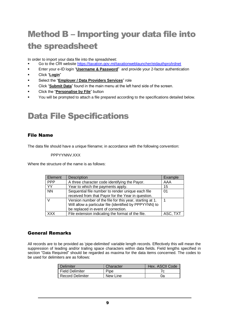# <span id="page-8-0"></span>Method B – Importing your data file into the spreadsheet

In order to import your data file into the spreadsheet:

- Go to the CfR website <https://taxation.gov.mt/taxationweblauncher/eidauthpro/irdnet>
- Enter your e-ID login "**Username & Password**" and provide your 2-factor authentication
- Click "**Login**"
- Select the "**Employer / Data Providers Services**" role
- Click "**Submit Data**" found in the main menu at the left hand side of the screen.
- Click the "**Personalise by File**" button
- You will be prompted to attach a file prepared according to the specifications detailed below.

# <span id="page-8-1"></span>Data File Specifications

### <span id="page-8-2"></span>File Name

The data file should have a unique filename; in accordance with the following convention:

#### PPPYYNNV XXX

Where the structure of the name is as follows:

| Element    | Description                                              | Example  |
|------------|----------------------------------------------------------|----------|
| <b>PPP</b> | A three character code identifying the Payor.            | AAA      |
| YY         | Year to which the payments apply.                        | 15       |
| <b>NN</b>  | Sequential file number to render unique each file        | 01       |
|            | received from that Payor for the Year in question.       |          |
|            | Version number of the file for this year, starting at 1. |          |
|            | Will allow a particular file (identified by PPPYYNN) to  |          |
|            | be replaced in event of correction.                      |          |
| <b>XXX</b> | File extension indicating the format of the file.        | ASC, TXT |

### <span id="page-8-3"></span>General Remarks

All records are to be provided as 'pipe-delimited' variable length records. Effectively this will mean the suppression of leading and/or trailing space characters within data fields. Field lengths specified in section "Data Required" should be regarded as maxima for the data items concerned. The codes to be used for delimiters are as follows:

| Delimiter               | Character | Hex. ASCII Code |
|-------------------------|-----------|-----------------|
| Field Delimiter         | Pipe      |                 |
| <b>Record Delimiter</b> | New Line  | 0a              |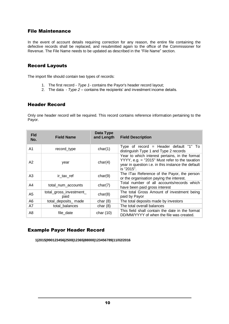### <span id="page-9-0"></span>File Maintenance

In the event of account details requiring correction for any reason, the entire file containing the defective records shall be replaced, and resubmitted again to the office of the Commissioner for Revenue. The File Name needs to be updated as described in the "File Name" section.

### <span id="page-9-1"></span>Record Layouts

The import file should contain two types of records:

- 1. The first record *Type 1-* contains the Payor's header record layout;
- 2. The data *Type 2* contains the recipients' and investment income details.

### <span id="page-9-2"></span>Header Record

Only one header record will be required. This record contains reference information pertaining to the Payor.

| <b>Fld</b><br>No. | <b>Field Name</b>               | Data Type<br>and Length | <b>Field Description</b>                                                                                                                                                |
|-------------------|---------------------------------|-------------------------|-------------------------------------------------------------------------------------------------------------------------------------------------------------------------|
| A1                | record_type                     | char(1)                 | Type of record = Header default "1" To<br>distinguish Type 1 and Type 2 records                                                                                         |
| A2                | year                            | char(4)                 | Year to which interest pertains, in the format<br>$YYYY$ , e.g. = "2015" Must refer to the taxation<br>year in question i.e. in this instance the default<br>is "2015". |
| A3                | ir tax ref                      | char(9)                 | The ITax Reference of the Payor, the person<br>or the organisation paying the interest.                                                                                 |
| A4                | total_num_accounts              | char(7)                 | Total number of all accounts/records which<br>have been paid gross interest                                                                                             |
| A5                | total_gross_investment_<br>paid | char(8)                 | The total Gross Amount of investment being<br>paid by Payor                                                                                                             |
| A <sub>6</sub>    | total_deposits_ made            | char $(8)$              | The total deposits made by investors                                                                                                                                    |
| A7                | total balances                  | char $(8)$              | The total overall balances                                                                                                                                              |
| A8                | file date                       | char $(10)$             | This field shall contain the date in the format<br>DD/MM/YYYY of when the file was created.                                                                             |

#### <span id="page-9-3"></span>Example Payor Header Record

**1|2015|990123456|2500|12365|88000|123456789|11/02/2016**